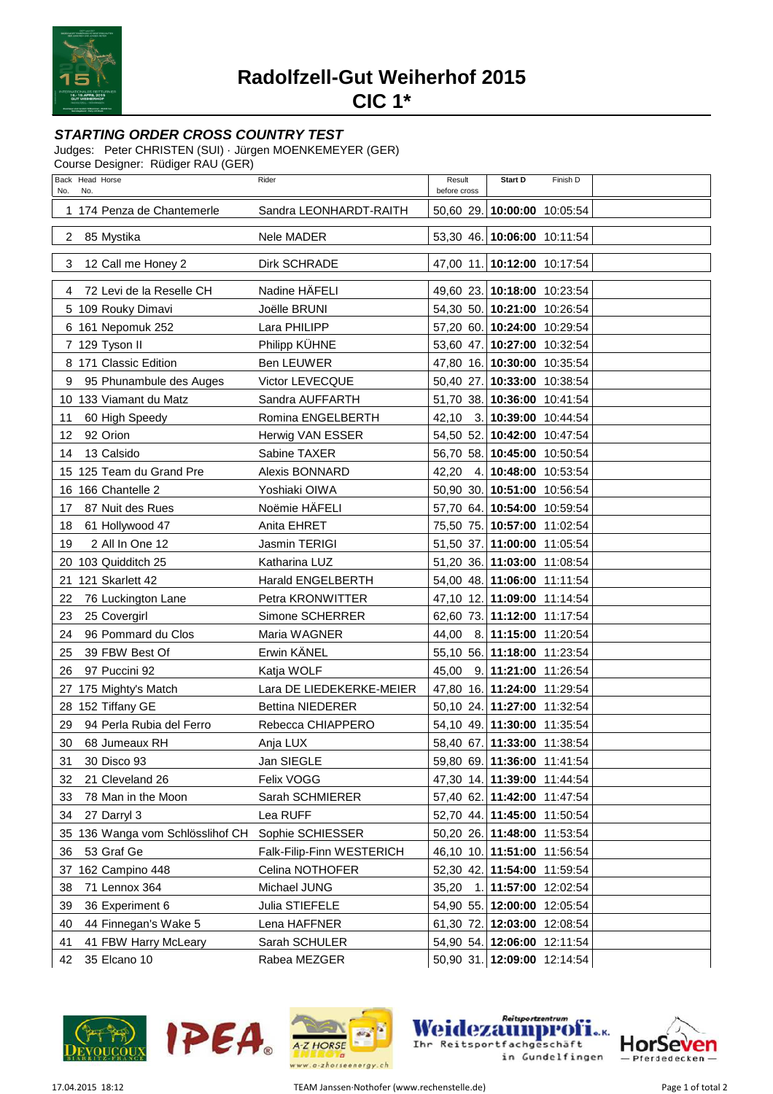

**Radolfzell-Gut Weiherhof 2015**

**CIC 1\***

## **STARTING ORDER CROSS COUNTRY TEST**

Judges: Peter CHRISTEN (SUI) · Jürgen MOENKEMEYER (GER)

Course Designer: Rüdiger RAU (GER)

| Back Head Horse<br>No.<br>No.    | Rider                     | Result<br>before cross      | Start D                     | Finish D |  |
|----------------------------------|---------------------------|-----------------------------|-----------------------------|----------|--|
| 1 174 Penza de Chantemerle       | Sandra LEONHARDT-RAITH    | 50,60 29. 10:00:00 10:05:54 |                             |          |  |
| $\overline{2}$<br>85 Mystika     | Nele MADER                | 53,30 46. 10:06:00 10:11:54 |                             |          |  |
| 3<br>12 Call me Honey 2          | Dirk SCHRADE              | 47,00 11. 10:12:00 10:17:54 |                             |          |  |
| 72 Levi de la Reselle CH<br>4    | Nadine HÄFELI             | 49,60 23. 10:18:00 10:23:54 |                             |          |  |
| 5 109 Rouky Dimavi               | Joëlle BRUNI              | 54,30 50. 10:21:00 10:26:54 |                             |          |  |
| 6 161 Nepomuk 252                | Lara PHILIPP              | 57,20 60. 10:24:00 10:29:54 |                             |          |  |
| 7 129 Tyson II                   | Philipp KÜHNE             | 53,60 47. 10:27:00 10:32:54 |                             |          |  |
| 8 171 Classic Edition            | <b>Ben LEUWER</b>         | 47,80 16. 10:30:00 10:35:54 |                             |          |  |
| 95 Phunambule des Auges<br>9     | Victor LEVECQUE           | 50,40 27. 10:33:00 10:38:54 |                             |          |  |
| 10 133 Viamant du Matz           | Sandra AUFFARTH           | 51,70 38. 10:36:00 10:41:54 |                             |          |  |
| 60 High Speedy<br>11             | Romina ENGELBERTH         | 42,10 3. 10:39:00 10:44:54  |                             |          |  |
| 92 Orion<br>12                   | Herwig VAN ESSER          |                             | 54,50 52. 10:42:00 10:47:54 |          |  |
| 13 Calsido<br>14                 | Sabine TAXER              | 56,70 58. 10:45:00 10:50:54 |                             |          |  |
| 15 125 Team du Grand Pre         | Alexis BONNARD            | 42,20 4. 10:48:00 10:53:54  |                             |          |  |
| 16 166 Chantelle 2               | Yoshiaki OIWA             | 50,90 30. 10:51:00 10:56:54 |                             |          |  |
| 17<br>87 Nuit des Rues           | Noëmie HÄFELI             | 57,70 64. 10:54:00 10:59:54 |                             |          |  |
| 61 Hollywood 47<br>18            | Anita EHRET               | 75,50 75. 10:57:00 11:02:54 |                             |          |  |
| 19<br>2 All In One 12            | Jasmin TERIGI             | 51,50 37. 11:00:00 11:05:54 |                             |          |  |
| 20 103 Quidditch 25              | Katharina LUZ             | 51,20 36. 11:03:00 11:08:54 |                             |          |  |
| 21 121 Skarlett 42               | Harald ENGELBERTH         | 54,00 48. 11:06:00 11:11:54 |                             |          |  |
| 22<br>76 Luckington Lane         | Petra KRONWITTER          | 47,10 12. 11:09:00 11:14:54 |                             |          |  |
| 25 Covergirl<br>23               | Simone SCHERRER           | 62,60 73. 11:12:00 11:17:54 |                             |          |  |
| 96 Pommard du Clos<br>24         | Maria WAGNER              | 44,00 8. 11:15:00 11:20:54  |                             |          |  |
| 39 FBW Best Of<br>25             | Erwin KÄNEL               | 55,10 56. 11:18:00 11:23:54 |                             |          |  |
| 97 Puccini 92<br>26              | Katja WOLF                | 45,00 9. 11:21:00 11:26:54  |                             |          |  |
| 27 175 Mighty's Match            | Lara DE LIEDEKERKE-MEIER  | 47,80 16. 11:24:00 11:29:54 |                             |          |  |
| 28 152 Tiffany GE                | <b>Bettina NIEDERER</b>   | 50,10 24. 11:27:00 11:32:54 |                             |          |  |
| 94 Perla Rubia del Ferro<br>29   | Rebecca CHIAPPERO         | 54,10 49. 11:30:00 11:35:54 |                             |          |  |
| 30<br>68 Jumeaux RH              | Anja LUX                  | 58,40 67. 11:33:00 11:38:54 |                             |          |  |
| 31<br>30 Disco 93                | Jan SIEGLE                |                             | 59,80 69. 11:36:00 11:41:54 |          |  |
| 32<br>21 Cleveland 26            | Felix VOGG                | 47,30 14. 11:39:00 11:44:54 |                             |          |  |
| 78 Man in the Moon<br>33         | Sarah SCHMIERER           |                             | 57,40 62. 11:42:00 11:47:54 |          |  |
| 34<br>27 Darryl 3                | Lea RUFF                  | 52,70 44. 11:45:00 11:50:54 |                             |          |  |
| 35 136 Wanga vom Schlösslihof CH | Sophie SCHIESSER          | 50,20 26. 11:48:00 11:53:54 |                             |          |  |
| 53 Graf Ge<br>36                 | Falk-Filip-Finn WESTERICH |                             | 46,10 10. 11:51:00 11:56:54 |          |  |
| 162 Campino 448<br>37            | Celina NOTHOFER           | 52,30 42. 11:54:00 11:59:54 |                             |          |  |
| 71 Lennox 364<br>38              | Michael JUNG              | 35,20<br>1.                 | 11:57:00 12:02:54           |          |  |
| 39<br>36 Experiment 6            | Julia STIEFELE            | 54,90 55. 12:00:00 12:05:54 |                             |          |  |
| 40<br>44 Finnegan's Wake 5       | Lena HAFFNER              | 61,30 72. 12:03:00 12:08:54 |                             |          |  |
| 41 FBW Harry McLeary<br>41       | Sarah SCHULER             |                             | 54,90 54. 12:06:00 12:11:54 |          |  |
| 35 Elcano 10<br>42               | Rabea MEZGER              | 50,90 31. 12:09:00 12:14:54 |                             |          |  |